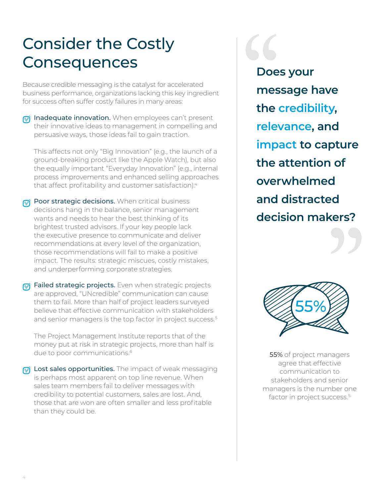## Consider the Costly **Consequences**

Because credible messaging is the catalyst for accelerated business performance, organizations lacking this key ingredient for success often suffer costly failures in many areas:

 $\oslash$  Inadequate innovation. When employees can't present their innovative ideas to management in compelling and persuasive ways, those ideas fail to gain traction.

This affects not only "Big Innovation" (e.g., the launch of a ground-breaking product like the Apple Watch), but also the equally important "Everyday Innovation" (e.g., internal process improvements and enhanced selling approaches that affect profitability and customer satisfaction).<sup>4</sup>

- $\sqrt{\ }$  Poor strategic decisions. When critical business decisions hang in the balance, senior management wants and needs to hear the best thinking of its brightest trusted advisors. If your key people lack the executive presence to communicate and deliver recommendations at every level of the organization, those recommendations will fail to make a positive impact. The results: strategic miscues, costly mistakes, and underperforming corporate strategies.
- $\mathbb{R}$  Failed strategic projects. Even when strategic projects are approved, "UNcredible" communication can cause them to fail. More than half of project leaders surveyed believe that effective communication with stakeholders and senior managers is the top factor in project success.<sup>5</sup>

The Project Management Institute reports that of the money put at risk in strategic projects, more than half is due to poor communications.<sup>6</sup>

 $\mathbb{R}$  Lost sales opportunities. The impact of weak messaging is perhaps most apparent on top line revenue. When sales team members fail to deliver messages with credibility to potential customers, sales are lost. And, those that are won are often smaller and less profitable than they could be.

**Does your message have the credibility, relevance, and impact to capture the attention of overwhelmed and distracted decision makers?** " Doe<br>
mes<br>
the<br>
rele



**55%** of project managers agree that effective communication to stakeholders and senior managers is the number one factor in project success.<sup>5</sup>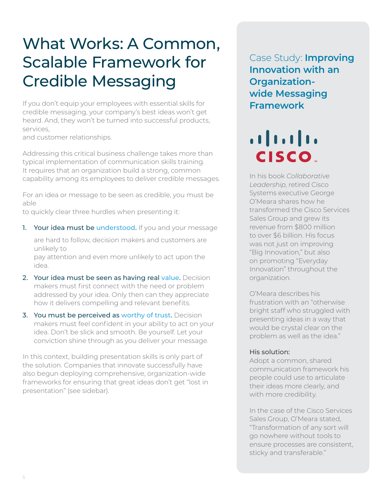## What Works: A Common, Scalable Framework for Credible Messaging

If you don't equip your employees with essential skills for credible messaging, your company's best ideas won't get heard. And, they won't be turned into successful products, services,

and customer relationships.

Addressing this critical business challenge takes more than typical implementation of communication skills training. It requires that an organization build a strong, common capability among its employees to deliver credible messages.

For an idea or message to be seen as credible, you must be able

to quickly clear three hurdles when presenting it:

1. Your idea must be understood. If you and your message

are hard to follow, decision makers and customers are unlikely to pay attention and even more unlikely to act upon the

idea.

- 2. Your idea must be seen as having real value. Decision makers must first connect with the need or problem addressed by your idea. Only then can they appreciate how it delivers compelling and relevant benefits.
- 3. You must be perceived as worthy of trust. Decision makers must feel confident in your ability to act on your idea. Don't be slick and smooth. Be yourself. Let your conviction shine through as you deliver your message.

In this context, building presentation skills is only part of the solution. Companies that innovate successfully have also begun deploying comprehensive, organization-wide frameworks for ensuring that great ideas don't get "lost in presentation" (see sidebar).

Case Study: **Improving Innovation with an Organizationwide Messaging Framework**

 $\frac{1}{2}$ **CISCO** 

In his book *Collaborative Leadership*, retired Cisco Systems executive George O'Meara shares how he transformed the Cisco Services Sales Group and grew its revenue from \$800 million to over \$6 billion. His focus was not just on improving "Big Innovation," but also on promoting "Everyday Innovation" throughout the organization.

O'Meara describes his frustration with an "otherwise bright staff who struggled with presenting ideas in a way that would be crystal clear on the problem as well as the idea."

#### His solution:

Adopt a common, shared communication framework his people could use to articulate their ideas more clearly, and with more credibility.

In the case of the Cisco Services Sales Group, O'Meara stated, "Transformation of any sort will go nowhere without tools to ensure processes are consistent, sticky and transferable."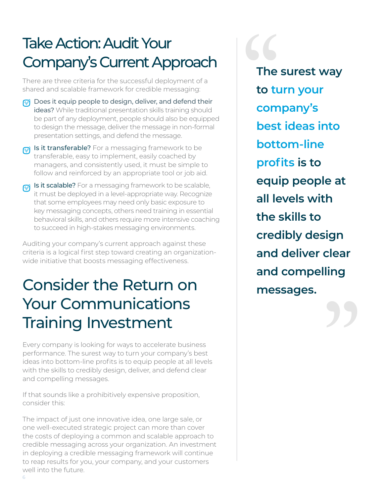# Take Action: Audit Your<br>
Company's Current Approach<br>
The are three criteria for the successful deployment of a<br>
shared and scalable framework for credible messaging:<br>
<br> **The Dose it equip people to design, deliver, and def** Company's Current Approach

There are three criteria for the successful deployment of a shared and scalable framework for credible messaging:

- $\sqrt{1}$  Does it equip people to design, deliver, and defend their ideas? While traditional presentation skills training should be part of any deployment, people should also be equipped to design the message, deliver the message in non-formal presentation settings, and defend the message.
- $\gamma$  is it transferable? For a messaging framework to be transferable, easy to implement, easily coached by managers, and consistently used, it must be simple to follow and reinforced by an appropriate tool or job aid.
- $\gamma$  is it scalable? For a messaging framework to be scalable, it must be deployed in a level-appropriate way. Recognize that some employees may need only basic exposure to key messaging concepts, others need training in essential behavioral skills, and others require more intensive coaching to succeed in high-stakes messaging environments.

Auditing your company's current approach against these criteria is a logical first step toward creating an organizationwide initiative that boosts messaging effectiveness.

#### Consider the Return on Your Communications Training Investment

Every company is looking for ways to accelerate business performance. The surest way to turn your company's best ideas into bottom-line profits is to equip people at all levels with the skills to credibly design, deliver, and defend clear and compelling messages.

If that sounds like a prohibitively expensive proposition, consider this:

The impact of just one innovative idea, one large sale, or one well-executed strategic project can more than cover the costs of deploying a common and scalable approach to credible messaging across your organization. An investment in deploying a credible messaging framework will continue to reap results for you, your company, and your customers well into the future.

**The surest way to turn your company's best ideas into bottom-line profits is to equip people at all levels with the skills to credibly design and deliver clear and compelling messages.**

"

6